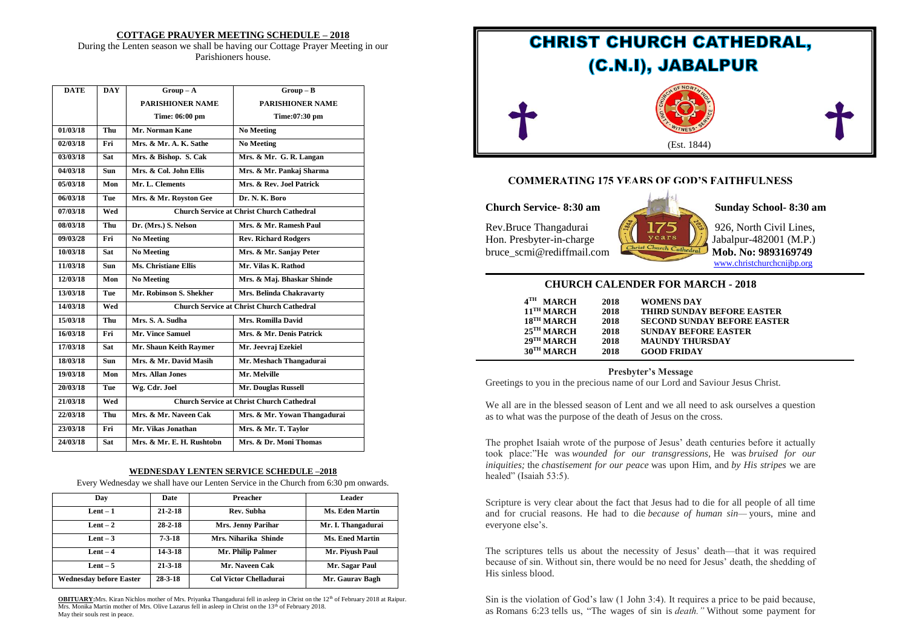#### **COTTAGE PRAUYER MEETING SCHEDULE – 2018**

During the Lenten season we shall be having our Cottage Prayer Meeting in our Parishioners house.

| <b>DATE</b> | <b>DAY</b> | $Group-A$                                        | $Group-B$                    |  |
|-------------|------------|--------------------------------------------------|------------------------------|--|
|             |            | PARISHIONER NAME                                 | <b>PARISHIONER NAME</b>      |  |
|             |            | Time: 06:00 pm                                   | Time:07:30 pm                |  |
| 01/03/18    | Thu        | Mr. Norman Kane                                  | <b>No Meeting</b>            |  |
| 02/03/18    | Fri        | Mrs. & Mr. A. K. Sathe                           | <b>No Meeting</b>            |  |
| 03/03/18    | <b>Sat</b> | Mrs. & Bishop. S. Cak                            | Mrs. & Mr. G. R. Langan      |  |
| 04/03/18    | <b>Sun</b> | Mrs. & Col. John Ellis                           | Mrs. & Mr. Pankaj Sharma     |  |
| 05/03/18    | Mon        | Mr. L. Clements                                  | Mrs. & Rev. Joel Patrick     |  |
| 06/03/18    | Tue        | Mrs. & Mr. Royston Gee<br>Dr. N. K. Boro         |                              |  |
| 07/03/18    | Wed        | <b>Church Service at Christ Church Cathedral</b> |                              |  |
| 08/03/18    | Thu        | Dr. (Mrs.) S. Nelson                             | Mrs. & Mr. Ramesh Paul       |  |
| 09/03/28    | Fri        | <b>No Meeting</b>                                | <b>Rev. Richard Rodgers</b>  |  |
| 10/03/18    | <b>Sat</b> | <b>No Meeting</b>                                | Mrs. & Mr. Sanjay Peter      |  |
| 11/03/18    | <b>Sun</b> | <b>Ms. Christiane Ellis</b>                      | Mr. Vilas K. Rathod          |  |
| 12/03/18    | Mon        | <b>No Meeting</b>                                | Mrs. & Maj. Bhaskar Shinde   |  |
| 13/03/18    | Tue        | Mr. Robinson S. Shekher                          | Mrs. Belinda Chakravarty     |  |
| 14/03/18    | Wed        | <b>Church Service at Christ Church Cathedral</b> |                              |  |
| 15/03/18    | Thu        | Mrs. S. A. Sudha                                 | Mrs. Romilla David           |  |
| 16/03/18    | Fri        | <b>Mr. Vince Samuel</b>                          | Mrs. & Mr. Denis Patrick     |  |
| 17/03/18    | <b>Sat</b> | Mr. Shaun Keith Raymer                           | Mr. Jeevraj Ezekiel          |  |
| 18/03/18    | <b>Sun</b> | Mrs. & Mr. David Masih                           | Mr. Meshach Thangadurai      |  |
| 19/03/18    | Mon        | Mrs. Allan Jones                                 | Mr. Melville                 |  |
| 20/03/18    | Tue        | Mr. Douglas Russell<br>Wg. Cdr. Joel             |                              |  |
| 21/03/18    | Wed        | <b>Church Service at Christ Church Cathedral</b> |                              |  |
| 22/03/18    | Thu        | Mrs. & Mr. Naveen Cak                            | Mrs. & Mr. Yowan Thangadurai |  |
| 23/03/18    | Fri        | Mr. Vikas Jonathan                               | Mrs. & Mr. T. Taylor         |  |
| 24/03/18    | <b>Sat</b> | Mrs. & Mr. E. H. Rushtobn                        | Mrs. & Dr. Moni Thomas       |  |

#### **WEDNESDAY LENTEN SERVICE SCHEDULE –2018**

Every Wednesday we shall have our Lenten Service in the Church from 6:30 pm onwards.

| Dav                            | Date          | Preacher                      | Leader                 |
|--------------------------------|---------------|-------------------------------|------------------------|
| $Lent-1$                       | $21 - 2 - 18$ | Rev. Subha                    | <b>Ms. Eden Martin</b> |
| Lent $-2$                      | $28 - 2 - 18$ | Mrs. Jenny Parihar            | Mr. I. Thangadurai     |
| Lent $-3$                      | $7 - 3 - 18$  | Mrs. Niharika Shinde          | Ms. Ened Martin        |
| $Lent - 4$                     | $14 - 3 - 18$ | Mr. Philip Palmer             | Mr. Piyush Paul        |
| Lent $-5$                      | $21 - 3 - 18$ | Mr. Naveen Cak                | Mr. Sagar Paul         |
| <b>Wednesday before Easter</b> | $28 - 3 - 18$ | <b>Col Victor Chelladurai</b> | Mr. Gaurav Bagh        |

**OBITUARY:**Mrs. Kiran Nichlos mother of Mrs. Priyanka Thangadurai fell in asleep in Christ on the 12<sup>th</sup> of February 2018 at Raipur. Mrs. Monika Martin mother of Mrs. Olive Lazarus fell in asleep in Christ on the 13<sup>th</sup> of February 2018. May their souls rest in peace.



## **COMMERATING 175 YEARS OF GOD'S FAITHFULNESS**

**Church Service- 8:30 am Sunday School- 8:30 am**

Rev.Bruce Thangadurai  $\sqrt{\frac{3}{2}}$  175 \\\ 926, North Civil Lines, Hon. Presbyter-in-charge  $\left| \iint \right|$  years  $\left| \iint \right|$  Jabalpur-482001 (M.P.) bruce\_scmi@rediffmail.com



[www.christchurchcnijbp.org](http://www.christchurchcnijbp.org/)

#### **CHURCH CALENDER FOR MARCH - 2018**

| 4 тн<br><b>MARCH</b>     | 2018 | WOMENS DAY                         |
|--------------------------|------|------------------------------------|
| $11$ <sup>TH</sup> MARCH | 2018 | <b>THIRD SUNDAY BEFORE EASTER</b>  |
| 18 <sup>TH</sup> MARCH   | 2018 | <b>SECOND SUNDAY BEFORE EASTER</b> |
| $25$ <sup>TH</sup> MARCH | 2018 | <b>SUNDAY BEFORE EASTER</b>        |
| $29$ <sup>TH</sup> MARCH | 2018 | <b>MAUNDY THURSDAY</b>             |
| 30TH MARCH               | 2018 | <b>GOOD FRIDAY</b>                 |

**Presbyter's Message** Greetings to you in the precious name of our Lord and Saviour Jesus Christ.

We all are in the blessed season of Lent and we all need to ask ourselves a question as to what was the purpose of the death of Jesus on the cross.

The prophet Isaiah wrote of the purpose of Jesus' death centuries before it actually took place:"He was *wounded for our transgressions,* He was *bruised for our iniquities;* the *chastisement for our peace* was upon Him, and *by His stripes* we are healed" (Isaiah 53:5).

Scripture is very clear about the fact that Jesus had to die for all people of all time and for crucial reasons. He had to die *because of human sin—* yours, mine and everyone else's.

The scriptures tells us about the necessity of Jesus' death—that it was required because of sin. Without sin, there would be no need for Jesus' death, the shedding of His sinless blood.

Sin is the violation of God's law (1 John 3:4). It requires a price to be paid because, as Romans 6:23 tells us, "The wages of sin is *death."* Without some payment for